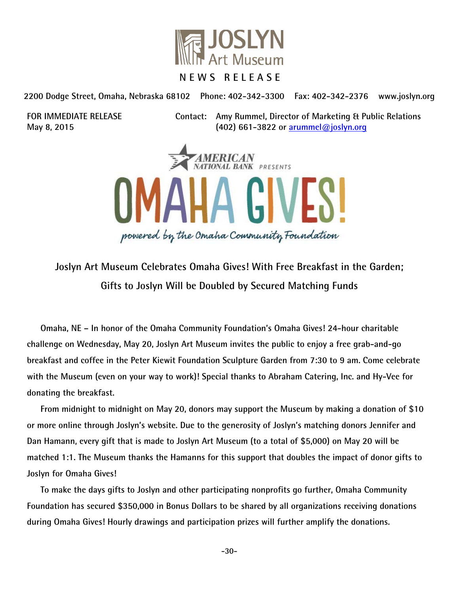

**2200 Dodge Street, Omaha, Nebraska 68102 Phone: 402-342-3300 Fax: 402-342-2376 www.joslyn.org** 

**FOR IMMEDIATE RELEASE Contact: Amy Rummel, Director of Marketing & Public Relations May 8, 2015 (402) 661-3822 or arummel@joslyn.org**



**Joslyn Art Museum Celebrates Omaha Gives! With Free Breakfast in the Garden; Gifts to Joslyn Will be Doubled by Secured Matching Funds** 

 **Omaha, NE – In honor of the Omaha Community Foundation's Omaha Gives! 24-hour charitable challenge on Wednesday, May 20, Joslyn Art Museum invites the public to enjoy a free grab-and-go breakfast and coffee in the Peter Kiewit Foundation Sculpture Garden from 7:30 to 9 am. Come celebrate with the Museum (even on your way to work)! Special thanks to Abraham Catering, Inc. and Hy-Vee for donating the breakfast.** 

 **From midnight to midnight on May 20, donors may support the Museum by making a donation of \$10 or more online through Joslyn's website. Due to the generosity of Joslyn's matching donors Jennifer and Dan Hamann, every gift that is made to Joslyn Art Museum (to a total of \$5,000) on May 20 will be matched 1:1. The Museum thanks the Hamanns for this support that doubles the impact of donor gifts to Joslyn for Omaha Gives!** 

**To make the days gifts to Joslyn and other participating nonprofits go further, Omaha Community Foundation has secured \$350,000 in Bonus Dollars to be shared by all organizations receiving donations during Omaha Gives! Hourly drawings and participation prizes will further amplify the donations.**